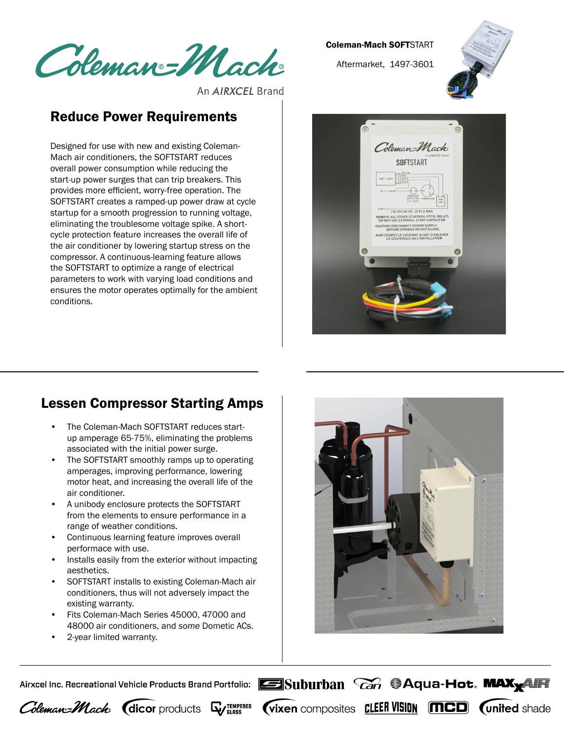Coleman=Mach

An **AIRXCEL** Brand

## Reduce Power Requirements

Designed for use with new and existing Coleman-Mach air conditioners, the SOFTSTART reduces overall power consumption while reducing the start-up power surges that can trip breakers. This provides more efficient, worry-free operation. The SOFTSTART creates a ramped-up power draw at cycle startup for a smooth progression to running voltage, eliminating the troublesome voltage spike. A shortcycle protection feature increases the overall life of the air conditioner by lowering startup stress on the compressor. A continuous-learning feature allows the SOFTSTART to optimize a range of electrical parameters to work with varying load conditions and ensures the motor operates optimally for the ambient conditions.

## Coleman-Mach SOFTSTART

Aftermarket, 1497-3601





## Lessen Compressor Starting Amps

- The Coleman-Mach SOFTSTART reduces startup amperage 65-75%, eliminating the problems associated with the initial power surge.
- The SOFTSTART smoothly ramps up to operating amperages, improving performance, lowering motor heat, and increasing the overall life of the air conditioner.
- A unibody enclosure protects the SOFTSTART from the elements to ensure performance in a range of weather conditions.
- Continuous learning feature improves overall performace with use.
- Installs easily from the exterior without impacting aesthetics.
- SOFTSTART installs to existing Coleman-Mach air conditioners, thus will not adversely impact the existing warranty.
- Fits Coleman-Mach Series 45000, 47000 and 48000 air conditioners, and *some* Dometic ACs.
- 2-year limited warranty.



**Vixen** composites **CLEER VISION MCD (united shade** 

Airxcel Inc. Recreational Vehicle Products Brand Portfolio: **Exam Suburban** *Can* **SAqua-Hot. MAX**